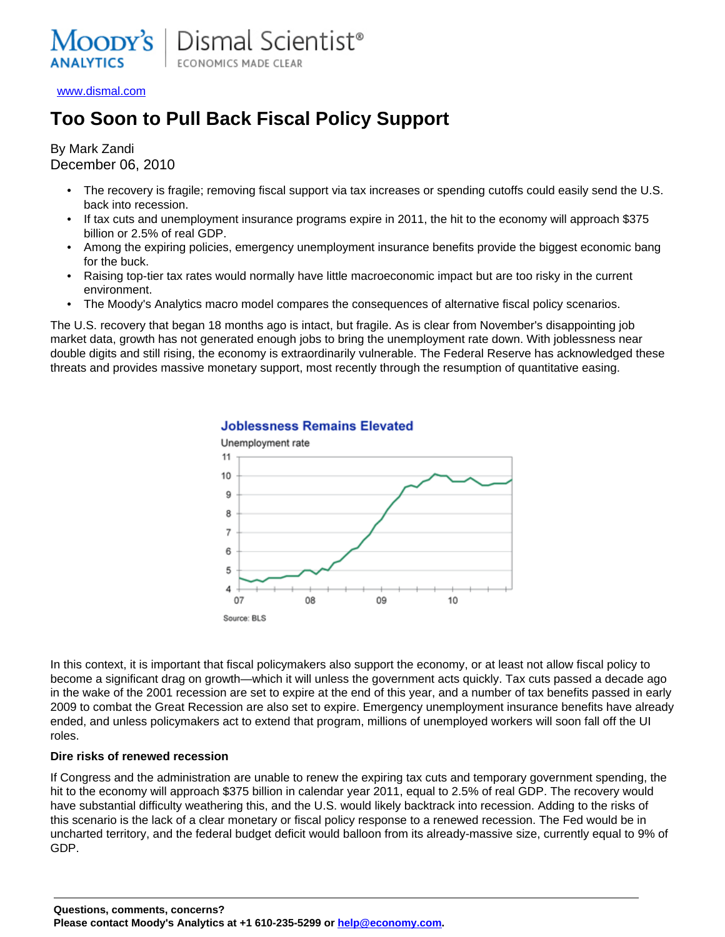

[www.dismal.com](http://www.dismal.com)

# **Too Soon to Pull Back Fiscal Policy Support**

By Mark Zandi December 06, 2010

- The recovery is fragile; removing fiscal support via tax increases or spending cutoffs could easily send the U.S. back into recession.
- If tax cuts and unemployment insurance programs expire in 2011, the hit to the economy will approach \$375 billion or 2.5% of real GDP.
- Among the expiring policies, emergency unemployment insurance benefits provide the biggest economic bang for the buck.
- Raising top-tier tax rates would normally have little macroeconomic impact but are too risky in the current environment.
- The Moody's Analytics macro model compares the consequences of alternative fiscal policy scenarios.

The U.S. recovery that began 18 months ago is intact, but fragile. As is clear from November's disappointing job market data, growth has not generated enough jobs to bring the unemployment rate down. With joblessness near double digits and still rising, the economy is extraordinarily vulnerable. The Federal Reserve has acknowledged these threats and provides massive monetary support, most recently through the resumption of quantitative easing.



## **Joblessness Remains Elevated**

In this context, it is important that fiscal policymakers also support the economy, or at least not allow fiscal policy to become a significant drag on growth—which it will unless the government acts quickly. Tax cuts passed a decade ago in the wake of the 2001 recession are set to expire at the end of this year, and a number of tax benefits passed in early 2009 to combat the Great Recession are also set to expire. Emergency unemployment insurance benefits have already ended, and unless policymakers act to extend that program, millions of unemployed workers will soon fall off the UI roles.

#### **Dire risks of renewed recession**

If Congress and the administration are unable to renew the expiring tax cuts and temporary government spending, the hit to the economy will approach \$375 billion in calendar year 2011, equal to 2.5% of real GDP. The recovery would have substantial difficulty weathering this, and the U.S. would likely backtrack into recession. Adding to the risks of this scenario is the lack of a clear monetary or fiscal policy response to a renewed recession. The Fed would be in uncharted territory, and the federal budget deficit would balloon from its already-massive size, currently equal to 9% of GDP.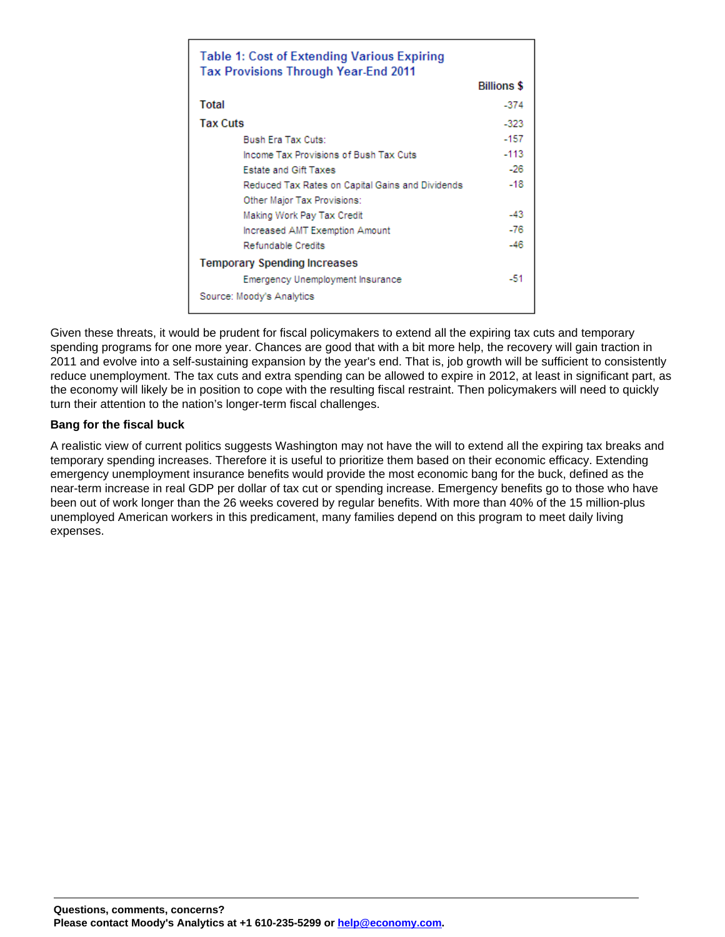| <b>Table 1: Cost of Extending Various Expiring</b><br>Tax Provisions Through Year-End 2011 |                    |
|--------------------------------------------------------------------------------------------|--------------------|
|                                                                                            | <b>Billions \$</b> |
| Total                                                                                      | $-374$             |
| <b>Tax Cuts</b>                                                                            | $-323$             |
| Bush Era Tax Cuts:                                                                         | $-157$             |
| Income Tax Provisions of Bush Tax Cuts                                                     | $-113$             |
| <b>Estate and Gift Taxes</b>                                                               | $-26$              |
| Reduced Tax Rates on Capital Gains and Dividends                                           | $-18$              |
| Other Major Tax Provisions:                                                                |                    |
| Making Work Pay Tax Credit                                                                 | $-43$              |
| Increased AMT Exemption Amount                                                             | $-76$              |
| Refundable Credits                                                                         | -46                |
| <b>Temporary Spending Increases</b>                                                        |                    |
| Emergency Unemployment Insurance                                                           | -51                |
| Source: Moody's Analytics                                                                  |                    |

Given these threats, it would be prudent for fiscal policymakers to extend all the expiring tax cuts and temporary spending programs for one more year. Chances are good that with a bit more help, the recovery will gain traction in 2011 and evolve into a self-sustaining expansion by the year's end. That is, job growth will be sufficient to consistently reduce unemployment. The tax cuts and extra spending can be allowed to expire in 2012, at least in significant part, as the economy will likely be in position to cope with the resulting fiscal restraint. Then policymakers will need to quickly turn their attention to the nation's longer-term fiscal challenges.

### **Bang for the fiscal buck**

A realistic view of current politics suggests Washington may not have the will to extend all the expiring tax breaks and temporary spending increases. Therefore it is useful to prioritize them based on their economic efficacy. Extending emergency unemployment insurance benefits would provide the most economic bang for the buck, defined as the near-term increase in real GDP per dollar of tax cut or spending increase. Emergency benefits go to those who have been out of work longer than the 26 weeks covered by regular benefits. With more than 40% of the 15 million-plus unemployed American workers in this predicament, many families depend on this program to meet daily living expenses.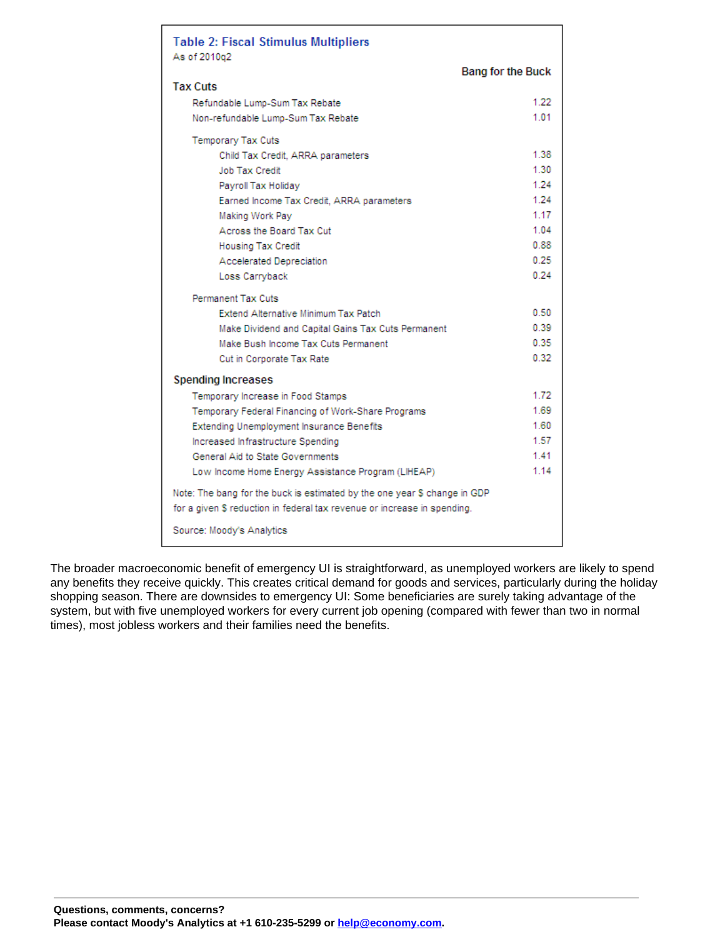| <b>Table 2: Fiscal Stimulus Multipliers</b><br>As of 2010q2                                                                                           |                          |
|-------------------------------------------------------------------------------------------------------------------------------------------------------|--------------------------|
|                                                                                                                                                       | <b>Bang for the Buck</b> |
| <b>Tax Cuts</b>                                                                                                                                       |                          |
| Refundable Lump-Sum Tax Rebate                                                                                                                        | 1.22                     |
| Non-refundable Lump-Sum Tax Rebate                                                                                                                    | 1.01                     |
| Temporary Tax Cuts                                                                                                                                    |                          |
| Child Tax Credit, ARRA parameters                                                                                                                     | 1.38                     |
| Job Tax Credit                                                                                                                                        | 1.30                     |
| Payroll Tax Holiday                                                                                                                                   | 1.24                     |
| Earned Income Tax Credit, ARRA parameters                                                                                                             | 1.24                     |
| Making Work Pay                                                                                                                                       | 1.17                     |
| Across the Board Tax Cut                                                                                                                              | 1.04                     |
| <b>Housing Tax Credit</b>                                                                                                                             | 0.88                     |
| Accelerated Depreciation                                                                                                                              | 0.25                     |
| Loss Carryback                                                                                                                                        | 0.24                     |
| Permanent Tax Cuts                                                                                                                                    |                          |
| <b>Extend Alternative Minimum Tax Patch</b>                                                                                                           | 0.50                     |
| Make Dividend and Capital Gains Tax Cuts Permanent                                                                                                    | 0.39                     |
| Make Bush Income Tax Cuts Permanent                                                                                                                   | 0.35                     |
| Cut in Corporate Tax Rate                                                                                                                             | 0.32                     |
| <b>Spending Increases</b>                                                                                                                             |                          |
| Temporary Increase in Food Stamps                                                                                                                     | 1.72                     |
| Temporary Federal Financing of Work-Share Programs                                                                                                    | 1.69                     |
| Extending Unemployment Insurance Benefits                                                                                                             | 1.60                     |
| Increased Infrastructure Spending                                                                                                                     | 1.57                     |
| General Aid to State Governments                                                                                                                      | 1.41                     |
| Low Income Home Energy Assistance Program (LIHEAP)                                                                                                    | 1.14                     |
| Note: The bang for the buck is estimated by the one year \$ change in GDP<br>for a given \$ reduction in federal tax revenue or increase in spending. |                          |
| Source: Moody's Analytics                                                                                                                             |                          |

The broader macroeconomic benefit of emergency UI is straightforward, as unemployed workers are likely to spend any benefits they receive quickly. This creates critical demand for goods and services, particularly during the holiday shopping season. There are downsides to emergency UI: Some beneficiaries are surely taking advantage of the system, but with five unemployed workers for every current job opening (compared with fewer than two in normal times), most jobless workers and their families need the benefits.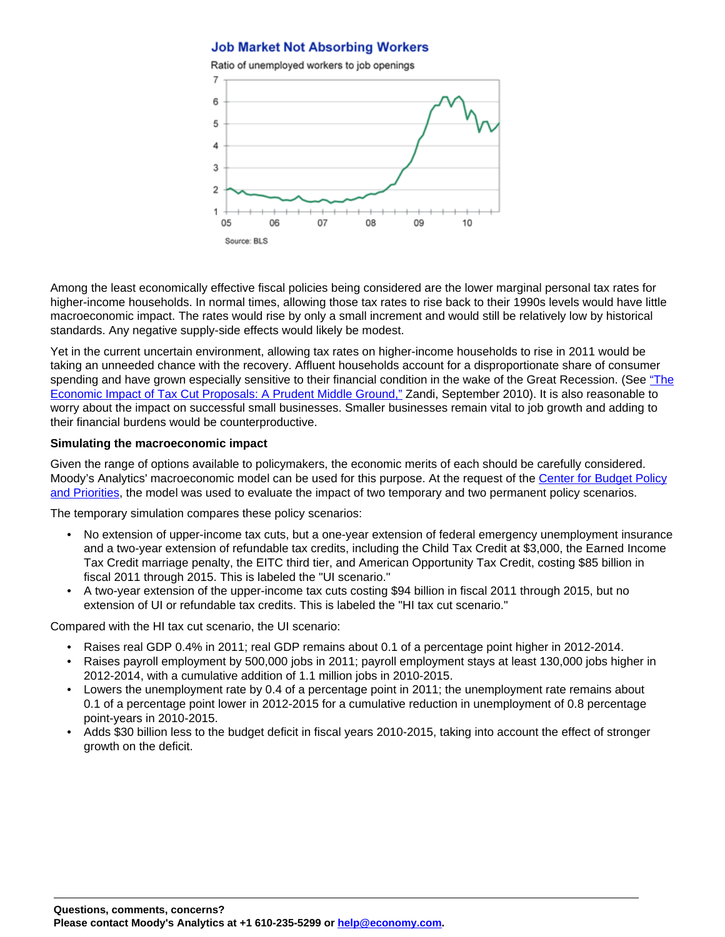## **Job Market Not Absorbing Workers**



Among the least economically effective fiscal policies being considered are the lower marginal personal tax rates for higher-income households. In normal times, allowing those tax rates to rise back to their 1990s levels would have little macroeconomic impact. The rates would rise by only a small increment and would still be relatively low by historical standards. Any negative supply-side effects would likely be modest.

Yet in the current uncertain environment, allowing tax rates on higher-income households to rise in 2011 would be taking an unneeded chance with the recovery. Affluent households account for a disproportionate share of consumer spending and have grown especially sensitive to their financial condition in the wake of the Great Recession. (See ["The](http://www.economy.com/dismal/pro/article.asp?cid=193220) [Economic Impact of Tax Cut Proposals: A Prudent Middle Ground,"](http://www.economy.com/dismal/pro/article.asp?cid=193220) Zandi, September 2010). It is also reasonable to worry about the impact on successful small businesses. Smaller businesses remain vital to job growth and adding to their financial burdens would be counterproductive.

### **Simulating the macroeconomic impact**

Given the range of options available to policymakers, the economic merits of each should be carefully considered. Moody's Analytics' macroeconomic model can be used for this purpose. At the request of the [Center for Budget Policy](http://www.cbpp.org/) [and Priorities,](http://www.cbpp.org/) the model was used to evaluate the impact of two temporary and two permanent policy scenarios.

The temporary simulation compares these policy scenarios:

- No extension of upper-income tax cuts, but a one-year extension of federal emergency unemployment insurance and a two-year extension of refundable tax credits, including the Child Tax Credit at \$3,000, the Earned Income Tax Credit marriage penalty, the EITC third tier, and American Opportunity Tax Credit, costing \$85 billion in fiscal 2011 through 2015. This is labeled the "UI scenario."
- A two-year extension of the upper-income tax cuts costing \$94 billion in fiscal 2011 through 2015, but no extension of UI or refundable tax credits. This is labeled the "HI tax cut scenario."

Compared with the HI tax cut scenario, the UI scenario:

- Raises real GDP 0.4% in 2011; real GDP remains about 0.1 of a percentage point higher in 2012-2014.
- Raises payroll employment by 500,000 jobs in 2011; payroll employment stays at least 130,000 jobs higher in 2012-2014, with a cumulative addition of 1.1 million jobs in 2010-2015.
- Lowers the unemployment rate by 0.4 of a percentage point in 2011; the unemployment rate remains about 0.1 of a percentage point lower in 2012-2015 for a cumulative reduction in unemployment of 0.8 percentage point-years in 2010-2015.
- Adds \$30 billion less to the budget deficit in fiscal years 2010-2015, taking into account the effect of stronger growth on the deficit.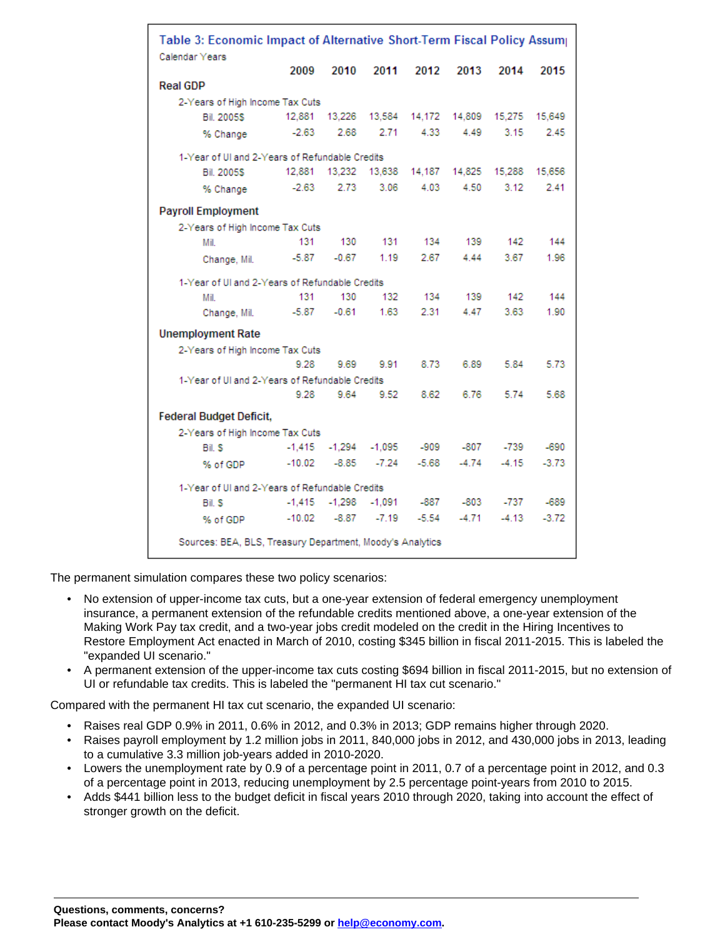| Table 3: Economic Impact of Alternative Short-Term Fiscal Policy Assum |          |          |                        |         |               |                |         |  |  |  |
|------------------------------------------------------------------------|----------|----------|------------------------|---------|---------------|----------------|---------|--|--|--|
| Calendar Years                                                         | 2009     | 2010     | 2011                   | 2012    | 2013          | 2014           | 2015    |  |  |  |
| <b>Real GDP</b>                                                        |          |          |                        |         |               |                |         |  |  |  |
| 2-Years of High Income Tax Cuts                                        |          |          |                        |         |               |                |         |  |  |  |
| <b>Bil. 2005\$</b>                                                     | 12,881   | 13,226   | 13,584                 | 14.172  | 14,809        | 15,649         |         |  |  |  |
|                                                                        | $-2.63$  | 2.68     | 2.71                   | 4.33    | 4.49          | 15,275<br>3.15 | 2.45    |  |  |  |
| % Change                                                               |          |          |                        |         |               |                |         |  |  |  |
| 1-Year of UI and 2-Years of Refundable Credits                         |          |          |                        |         |               |                |         |  |  |  |
| <b>Bil. 2005S</b>                                                      | 12,881   |          | 13,232 13,638          |         | 14.187 14.825 | 15.288         | 15,656  |  |  |  |
| % Change                                                               | $-2.63$  | 2.73     | 3.06                   | 4.03    | 4.50          | 3.12           | 2.41    |  |  |  |
| <b>Payroll Employment</b>                                              |          |          |                        |         |               |                |         |  |  |  |
| 2-Years of High Income Tax Cuts                                        |          |          |                        |         |               |                |         |  |  |  |
| Mil                                                                    | 131      | 130      | 131                    | 134     | 139           | 142            | 144     |  |  |  |
| Change, Mil.                                                           | $-5.87$  | $-0.67$  | 1.19                   | 2.67    | 4.44          | 3.67           | 1.96    |  |  |  |
| 1-Year of UI and 2-Years of Refundable Credits                         |          |          |                        |         |               |                |         |  |  |  |
| Mil.                                                                   | 131      | 130      | 132                    | 134     | 139           | 142            | 144     |  |  |  |
| Change, Mil.                                                           | -5.87    | $-0.61$  | 1.63                   | 2.31    | 4.47          | 3.63           | 1.90    |  |  |  |
| <b>Unemployment Rate</b>                                               |          |          |                        |         |               |                |         |  |  |  |
| 2-Years of High Income Tax Cuts                                        |          |          |                        |         |               |                |         |  |  |  |
|                                                                        | 9.28     | 9.69     | 9.91                   | 8.73    | 6.89          | 5.84           | 5.73    |  |  |  |
| 1-Year of UI and 2-Years of Refundable Credits                         |          |          |                        |         |               |                |         |  |  |  |
|                                                                        | 9.28     | 9.64     | 9.52                   | 8.62    | 6.76          | 5.74           | 5.68    |  |  |  |
| <b>Federal Budget Deficit,</b>                                         |          |          |                        |         |               |                |         |  |  |  |
| 2-Years of High Income Tax Cuts                                        |          |          |                        |         |               |                |         |  |  |  |
| Bil. S                                                                 | $-1,415$ |          | $-1,294 -1,095$        | $-909$  | -807          | -739           | $-690$  |  |  |  |
| % of GDP                                                               | $-10.02$ | $-8.85$  | $-7.24$                | $-5.68$ | $-4.74$       | $-4.15$        | $-3.73$ |  |  |  |
| 1-Year of UI and 2-Years of Refundable Credits                         |          |          |                        |         |               |                |         |  |  |  |
| Bil. S                                                                 | $-1,415$ | $-1,298$ | -1.091                 | -887    | -803          | -737           | -689    |  |  |  |
| % of GDP                                                               |          |          | $-10.02 - 8.87 - 7.19$ | $-5.54$ | $-4.71$       | $-4.13$        | $-3.72$ |  |  |  |
| Sources: BEA, BLS, Treasury Department, Moody's Analytics              |          |          |                        |         |               |                |         |  |  |  |

The permanent simulation compares these two policy scenarios:

- No extension of upper-income tax cuts, but a one-year extension of federal emergency unemployment insurance, a permanent extension of the refundable credits mentioned above, a one-year extension of the Making Work Pay tax credit, and a two-year jobs credit modeled on the credit in the Hiring Incentives to Restore Employment Act enacted in March of 2010, costing \$345 billion in fiscal 2011-2015. This is labeled the "expanded UI scenario."
- A permanent extension of the upper-income tax cuts costing \$694 billion in fiscal 2011-2015, but no extension of UI or refundable tax credits. This is labeled the "permanent HI tax cut scenario."

Compared with the permanent HI tax cut scenario, the expanded UI scenario:

- Raises real GDP 0.9% in 2011, 0.6% in 2012, and 0.3% in 2013; GDP remains higher through 2020.
- Raises payroll employment by 1.2 million jobs in 2011, 840,000 jobs in 2012, and 430,000 jobs in 2013, leading to a cumulative 3.3 million job-years added in 2010-2020.
- Lowers the unemployment rate by 0.9 of a percentage point in 2011, 0.7 of a percentage point in 2012, and 0.3 of a percentage point in 2013, reducing unemployment by 2.5 percentage point-years from 2010 to 2015.
- Adds \$441 billion less to the budget deficit in fiscal years 2010 through 2020, taking into account the effect of stronger growth on the deficit.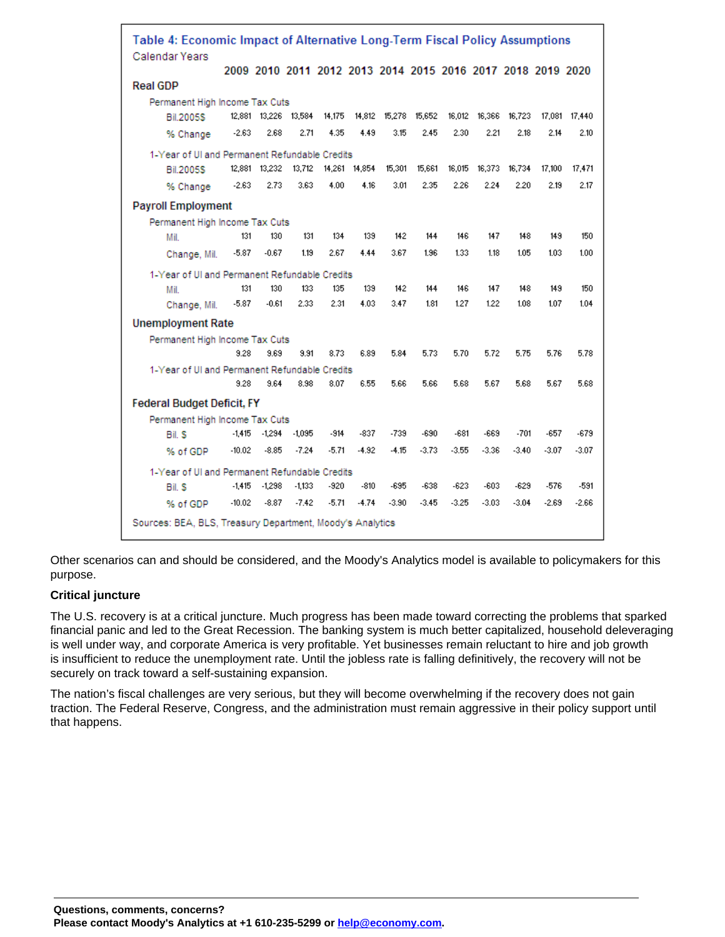| Table 4: Economic Impact of Alternative Long-Term Fiscal Policy Assumptions |                                                           |          |                 |                      |         |               |         |         |         |         |                                                             |         |               |
|-----------------------------------------------------------------------------|-----------------------------------------------------------|----------|-----------------|----------------------|---------|---------------|---------|---------|---------|---------|-------------------------------------------------------------|---------|---------------|
|                                                                             | Calendar Years                                            |          |                 |                      |         |               |         |         |         |         | 2009 2010 2011 2012 2013 2014 2015 2016 2017 2018 2019 2020 |         |               |
|                                                                             | <b>Real GDP</b>                                           |          |                 |                      |         |               |         |         |         |         |                                                             |         |               |
|                                                                             | Permanent High Income Tax Cuts                            |          |                 |                      |         |               |         |         |         |         |                                                             |         |               |
|                                                                             | <b>Bil.2005S</b>                                          |          |                 | 12,881 13,226 13,584 | 14,175  | 14,812        | 15,278  | 15,652  | 16,012  | 16,366  | 16,723                                                      |         | 17.081 17.440 |
|                                                                             | % Change                                                  | $-2.63$  | 2.68            | 2.71                 | 4.35    | 4.49          | 3.15    | 2.45    | 2.30    | 2.21    | 2.18                                                        | 2.14    | 2.10          |
|                                                                             | 1-Year of UI and Permanent Refundable Credits             |          |                 |                      |         |               |         |         |         |         |                                                             |         |               |
|                                                                             | <b>Bil.2005S</b>                                          |          | 12,881 13,232   | 13,712               |         | 14,261 14,854 | 15,301  | 15,661  | 16,015  | 16,373  | 16.734                                                      | 17,100  | 17.471        |
|                                                                             | % Change                                                  | $-2.63$  | 2.73            | 3.63                 | 4.00    | 4.16          | 3.01    | 2.35    | 2.26    | 2.24    | 2.20                                                        | 2.19    | 2.17          |
|                                                                             | <b>Payroll Employment</b>                                 |          |                 |                      |         |               |         |         |         |         |                                                             |         |               |
|                                                                             | Permanent High Income Tax Cuts                            |          |                 |                      |         |               |         |         |         |         |                                                             |         |               |
|                                                                             | Mil.                                                      | 131      | 130             | 131                  | 134     | 139           | 142     | 144     | 146     | 147     | 148                                                         | 149     | 150           |
|                                                                             | Change, Mil.                                              | $-5.87$  | $-0.67$         | 1.19                 | 2.67    | 4.44          | 3.67    | 1.96    | 1.33    | 1.18    | 1.05                                                        | 1.03    | 1.00          |
|                                                                             | 1-Year of UI and Permanent Refundable Credits             |          |                 |                      |         |               |         |         |         |         |                                                             |         |               |
|                                                                             | Mil.                                                      | 131      | 130             | 133                  | 135     | 139           | 142     | 144     | 146     | 147     | 148                                                         | 149     | 150           |
|                                                                             | Change, Mil.                                              | $-5.87$  | $-0.61$         | 2.33                 | 2.31    | 4.03          | 3.47    | 1.81    | 1.27    | 1.22    | 1.08                                                        | 1.07    | 1.04          |
|                                                                             | <b>Unemployment Rate</b>                                  |          |                 |                      |         |               |         |         |         |         |                                                             |         |               |
|                                                                             | Permanent High Income Tax Cuts                            |          |                 |                      |         |               |         |         |         |         |                                                             |         |               |
|                                                                             |                                                           | 9.28     | 9.69            | 9.91                 | 8.73    | 6.89          | 5.84    | 5.73    | 5.70    | 5.72    | 5.75                                                        | 5.76    | 5.78          |
|                                                                             | 1-Year of UI and Permanent Refundable Credits             |          |                 |                      |         |               |         |         |         |         |                                                             |         |               |
|                                                                             |                                                           | 9.28     | 9.64            | 8.98                 | 8.07    | 6.55          | 5.66    | 5.66    | 5.68    | 5.67    | 5.68                                                        | 5.67    | 5.68          |
| <b>Federal Budget Deficit, FY</b>                                           |                                                           |          |                 |                      |         |               |         |         |         |         |                                                             |         |               |
| Permanent High Income Tax Cuts                                              |                                                           |          |                 |                      |         |               |         |         |         |         |                                                             |         |               |
|                                                                             | Bil. S                                                    |          | $-1,415 -1,294$ | $-1,095$             | $-914$  | $-837$        | $-739$  | $-690$  | -681    | -669    | $-701$                                                      | -657    | $-679$        |
|                                                                             | % of GDP                                                  | $-10.02$ | $-8.85$         | $-7.24$              | $-5.71$ | $-4.92$       | $-4.15$ | $-3.73$ | $-3.55$ | $-3.36$ | $-3.40$                                                     | $-3.07$ | $-3.07$       |
| 1-Year of UI and Permanent Refundable Credits                               |                                                           |          |                 |                      |         |               |         |         |         |         |                                                             |         |               |
|                                                                             | Bil. S                                                    | $-1,415$ | $-1,298$        | $-1,133$             | $-920$  | $-810$        | -695    | $-638$  | $-623$  | $-603$  | $-629$                                                      | $-576$  | -591          |
|                                                                             | % of GDP                                                  | $-10.02$ | $-8.87$         | $-7.42$              | $-5.71$ | $-4.74$       | $-3.90$ | $-3.45$ | $-3.25$ | $-3.03$ | $-3.04$                                                     | $-2.69$ | $-2.66$       |
|                                                                             | Sources: BEA, BLS, Treasury Department, Moody's Analytics |          |                 |                      |         |               |         |         |         |         |                                                             |         |               |

Other scenarios can and should be considered, and the Moody's Analytics model is available to policymakers for this purpose.

## **Critical juncture**

The U.S. recovery is at a critical juncture. Much progress has been made toward correcting the problems that sparked financial panic and led to the Great Recession. The banking system is much better capitalized, household deleveraging is well under way, and corporate America is very profitable. Yet businesses remain reluctant to hire and job growth is insufficient to reduce the unemployment rate. Until the jobless rate is falling definitively, the recovery will not be securely on track toward a self-sustaining expansion.

The nation's fiscal challenges are very serious, but they will become overwhelming if the recovery does not gain traction. The Federal Reserve, Congress, and the administration must remain aggressive in their policy support until that happens.